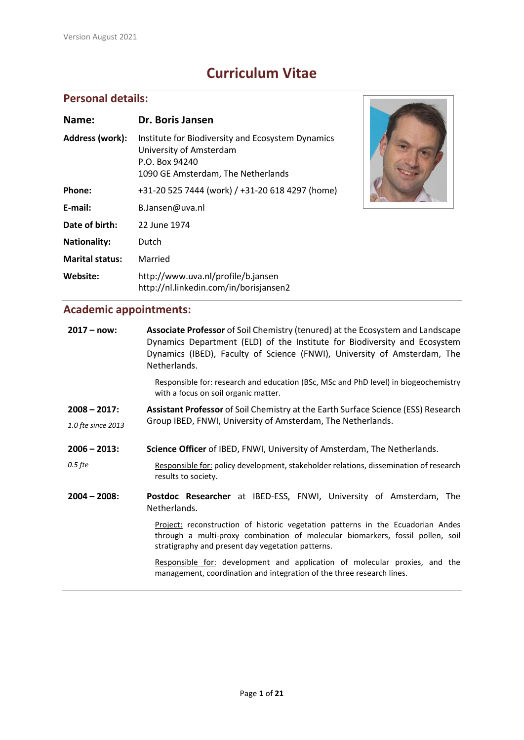# **Curriculum Vitae**

## **Personal details:**

| Name:                  | <b>Dr. Boris Jansen</b>                                                                                                              |  |
|------------------------|--------------------------------------------------------------------------------------------------------------------------------------|--|
| <b>Address (work):</b> | Institute for Biodiversity and Ecosystem Dynamics<br>University of Amsterdam<br>P.O. Box 94240<br>1090 GE Amsterdam, The Netherlands |  |
| Phone:                 | +31-20 525 7444 (work) / +31-20 618 4297 (home)                                                                                      |  |
| E-mail:                | B.Jansen@uva.nl                                                                                                                      |  |
| Date of birth:         | 22 June 1974                                                                                                                         |  |
| <b>Nationality:</b>    | Dutch                                                                                                                                |  |
| <b>Marital status:</b> | Married                                                                                                                              |  |
| Website:               | http://www.uva.nl/profile/b.jansen<br>http://nl.linkedin.com/in/borisjansen2                                                         |  |

## **Academic appointments:**

| $2017 - now:$      | Associate Professor of Soil Chemistry (tenured) at the Ecosystem and Landscape<br>Dynamics Department (ELD) of the Institute for Biodiversity and Ecosystem<br>Dynamics (IBED), Faculty of Science (FNWI), University of Amsterdam, The<br>Netherlands. |  |
|--------------------|---------------------------------------------------------------------------------------------------------------------------------------------------------------------------------------------------------------------------------------------------------|--|
|                    | Responsible for: research and education (BSc, MSc and PhD level) in biogeochemistry<br>with a focus on soil organic matter.                                                                                                                             |  |
| $2008 - 2017$ :    | Assistant Professor of Soil Chemistry at the Earth Surface Science (ESS) Research<br>Group IBED, FNWI, University of Amsterdam, The Netherlands.                                                                                                        |  |
| 1.0 fte since 2013 |                                                                                                                                                                                                                                                         |  |
| $2006 - 2013$ :    | Science Officer of IBED, FNWI, University of Amsterdam, The Netherlands.                                                                                                                                                                                |  |
| $0.5$ fte          | Responsible for: policy development, stakeholder relations, dissemination of research<br>results to society.                                                                                                                                            |  |
| $2004 - 2008$ :    | Postdoc Researcher at IBED-ESS, FNWI, University of Amsterdam, The<br>Netherlands.                                                                                                                                                                      |  |
|                    | Project: reconstruction of historic vegetation patterns in the Ecuadorian Andes<br>through a multi-proxy combination of molecular biomarkers, fossil pollen, soil<br>stratigraphy and present day vegetation patterns.                                  |  |
|                    | Responsible for: development and application of molecular proxies, and the<br>management, coordination and integration of the three research lines.                                                                                                     |  |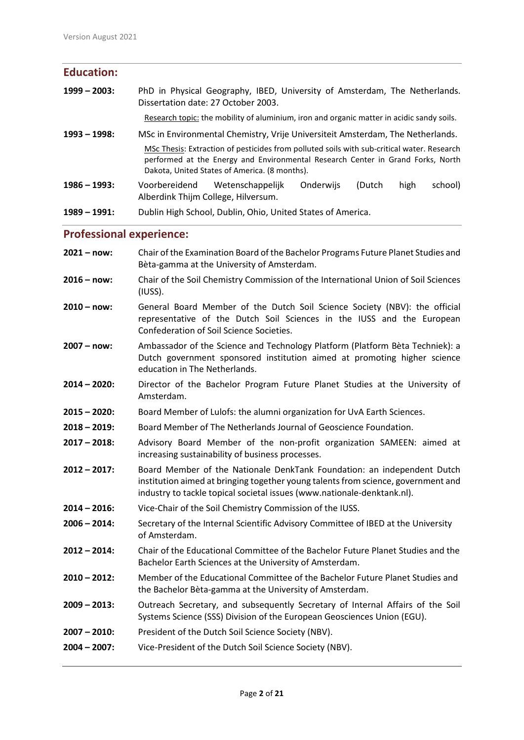#### **Education:**

**1999 – 2003:** PhD in Physical Geography, IBED, University of Amsterdam, The Netherlands. Dissertation date: 27 October 2003.

Research topic: the mobility of aluminium, iron and organic matter in acidic sandy soils.

**1993 – 1998:** MSc in Environmental Chemistry, Vrije Universiteit Amsterdam, The Netherlands.

MSc Thesis: Extraction of pesticides from polluted soils with sub-critical water. Research performed at the Energy and Environmental Research Center in Grand Forks, North Dakota, United States of America. (8 months).

- **1986 – 1993:** Voorbereidend Wetenschappelijk Onderwijs (Dutch high school) Alberdink Thijm College, Hilversum.
- **1989 – 1991:** Dublin High School, Dublin, Ohio, United States of America.

## **Professional experience:**

| $2021 - now:$   | Chair of the Examination Board of the Bachelor Programs Future Planet Studies and<br>Bèta-gamma at the University of Amsterdam.                                                                                                         |
|-----------------|-----------------------------------------------------------------------------------------------------------------------------------------------------------------------------------------------------------------------------------------|
| $2016 - now:$   | Chair of the Soil Chemistry Commission of the International Union of Soil Sciences<br>(IUSS).                                                                                                                                           |
| $2010 - now:$   | General Board Member of the Dutch Soil Science Society (NBV): the official<br>representative of the Dutch Soil Sciences in the IUSS and the European<br>Confederation of Soil Science Societies.                                        |
| $2007 - now:$   | Ambassador of the Science and Technology Platform (Platform Bèta Techniek): a<br>Dutch government sponsored institution aimed at promoting higher science<br>education in The Netherlands.                                              |
| $2014 - 2020$ : | Director of the Bachelor Program Future Planet Studies at the University of<br>Amsterdam.                                                                                                                                               |
| $2015 - 2020$ : | Board Member of Lulofs: the alumni organization for UvA Earth Sciences.                                                                                                                                                                 |
| $2018 - 2019$ : | Board Member of The Netherlands Journal of Geoscience Foundation.                                                                                                                                                                       |
| $2017 - 2018$ : | Advisory Board Member of the non-profit organization SAMEEN: aimed at<br>increasing sustainability of business processes.                                                                                                               |
| $2012 - 2017$ : | Board Member of the Nationale DenkTank Foundation: an independent Dutch<br>institution aimed at bringing together young talents from science, government and<br>industry to tackle topical societal issues (www.nationale-denktank.nl). |
| $2014 - 2016$ : | Vice-Chair of the Soil Chemistry Commission of the IUSS.                                                                                                                                                                                |
| $2006 - 2014$ : | Secretary of the Internal Scientific Advisory Committee of IBED at the University<br>of Amsterdam.                                                                                                                                      |
| $2012 - 2014$ : | Chair of the Educational Committee of the Bachelor Future Planet Studies and the<br>Bachelor Earth Sciences at the University of Amsterdam.                                                                                             |
| $2010 - 2012$ : | Member of the Educational Committee of the Bachelor Future Planet Studies and<br>the Bachelor Bèta-gamma at the University of Amsterdam.                                                                                                |
| $2009 - 2013$ : | Outreach Secretary, and subsequently Secretary of Internal Affairs of the Soil<br>Systems Science (SSS) Division of the European Geosciences Union (EGU).                                                                               |
| $2007 - 2010$ : | President of the Dutch Soil Science Society (NBV).                                                                                                                                                                                      |
| $2004 - 2007$ : | Vice-President of the Dutch Soil Science Society (NBV).                                                                                                                                                                                 |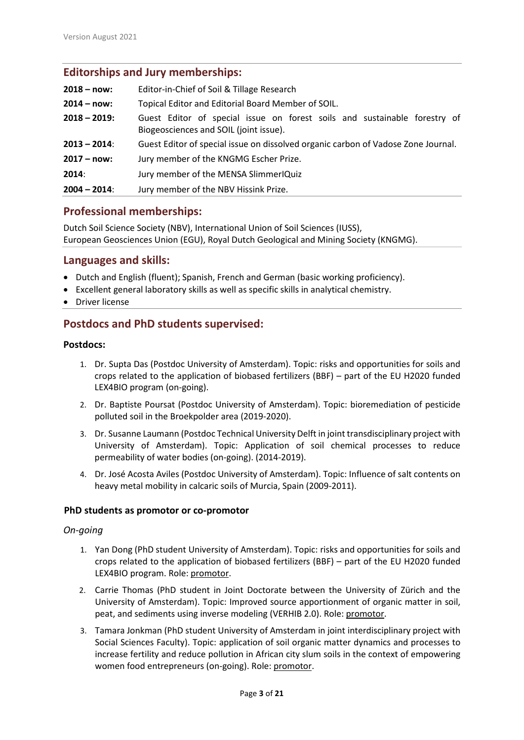## **Editorships and Jury memberships:**

| $2018 - now:$ | Editor-in-Chief of Soil & Tillage Research                                                                          |
|---------------|---------------------------------------------------------------------------------------------------------------------|
| $2014 - now:$ | Topical Editor and Editorial Board Member of SOIL.                                                                  |
| $2018 - 2019$ | Guest Editor of special issue on forest soils and sustainable forestry of<br>Biogeosciences and SOIL (joint issue). |
| $2013 - 2014$ | Guest Editor of special issue on dissolved organic carbon of Vadose Zone Journal.                                   |
| $2017 - now:$ | Jury member of the KNGMG Escher Prize.                                                                              |
| 2014:         | Jury member of the MENSA Slimmer IQuiz                                                                              |
| $2004 - 2014$ | Jury member of the NBV Hissink Prize.                                                                               |

## **Professional memberships:**

Dutch Soil Science Society (NBV), International Union of Soil Sciences (IUSS), European Geosciences Union (EGU), Royal Dutch Geological and Mining Society (KNGMG).

#### **Languages and skills:**

- Dutch and English (fluent); Spanish, French and German (basic working proficiency).
- Excellent general laboratory skills as well as specific skills in analytical chemistry.
- Driver license

## **Postdocs and PhD students supervised:**

#### **Postdocs:**

- 1. Dr. Supta Das (Postdoc University of Amsterdam). Topic: risks and opportunities for soils and crops related to the application of biobased fertilizers (BBF) – part of the EU H2020 funded LEX4BIO program (on-going).
- 2. Dr. Baptiste Poursat (Postdoc University of Amsterdam). Topic: bioremediation of pesticide polluted soil in the Broekpolder area (2019-2020).
- 3. Dr. Susanne Laumann (Postdoc Technical University Delft in joint transdisciplinary project with University of Amsterdam). Topic: Application of soil chemical processes to reduce permeability of water bodies (on-going). (2014-2019).
- 4. Dr. José Acosta Aviles (Postdoc University of Amsterdam). Topic: Influence of salt contents on heavy metal mobility in calcaric soils of Murcia, Spain (2009-2011).

#### **PhD students as promotor or co-promotor**

#### *On-going*

- 1. Yan Dong (PhD student University of Amsterdam). Topic: risks and opportunities for soils and crops related to the application of biobased fertilizers (BBF) – part of the EU H2020 funded LEX4BIO program. Role: promotor.
- 2. Carrie Thomas (PhD student in Joint Doctorate between the University of Zürich and the University of Amsterdam). Topic: Improved source apportionment of organic matter in soil, peat, and sediments using inverse modeling (VERHIB 2.0). Role: promotor.
- 3. Tamara Jonkman (PhD student University of Amsterdam in joint interdisciplinary project with Social Sciences Faculty). Topic: application of soil organic matter dynamics and processes to increase fertility and reduce pollution in African city slum soils in the context of empowering women food entrepreneurs (on-going). Role: promotor.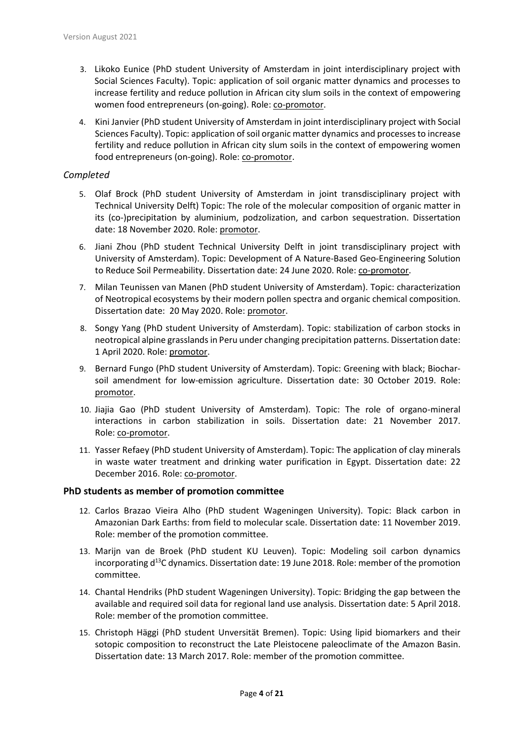- 3. Likoko Eunice (PhD student University of Amsterdam in joint interdisciplinary project with Social Sciences Faculty). Topic: application of soil organic matter dynamics and processes to increase fertility and reduce pollution in African city slum soils in the context of empowering women food entrepreneurs (on-going). Role: co-promotor.
- 4. Kini Janvier (PhD student University of Amsterdam in joint interdisciplinary project with Social Sciences Faculty). Topic: application of soil organic matter dynamics and processes to increase fertility and reduce pollution in African city slum soils in the context of empowering women food entrepreneurs (on-going). Role: co-promotor.

### *Completed*

- 5. Olaf Brock (PhD student University of Amsterdam in joint transdisciplinary project with Technical University Delft) Topic: The role of the molecular composition of organic matter in its (co-)precipitation by aluminium, podzolization, and carbon sequestration. Dissertation date: 18 November 2020. Role: promotor.
- 6. Jiani Zhou (PhD student Technical University Delft in joint transdisciplinary project with University of Amsterdam). Topic: Development of A Nature-Based Geo-Engineering Solution to Reduce Soil Permeability. Dissertation date: 24 June 2020. Role: co-promotor.
- 7. Milan Teunissen van Manen (PhD student University of Amsterdam). Topic: characterization of Neotropical ecosystems by their modern pollen spectra and organic chemical composition. Dissertation date: 20 May 2020. Role: promotor.
- 8. Songy Yang (PhD student University of Amsterdam). Topic: stabilization of carbon stocks in neotropical alpine grasslands in Peru under changing precipitation patterns. Dissertation date: 1 April 2020. Role: promotor.
- 9. Bernard Fungo (PhD student University of Amsterdam). Topic: Greening with black; Biocharsoil amendment for low-emission agriculture. Dissertation date: 30 October 2019. Role: promotor.
- 10. Jiajia Gao (PhD student University of Amsterdam). Topic: The role of organo-mineral interactions in carbon stabilization in soils. Dissertation date: 21 November 2017. Role: co-promotor.
- 11. Yasser Refaey (PhD student University of Amsterdam). Topic: The application of clay minerals in waste water treatment and drinking water purification in Egypt. Dissertation date: 22 December 2016. Role: co-promotor.

#### **PhD students as member of promotion committee**

- 12. Carlos Brazao Vieira Alho (PhD student Wageningen University). Topic: Black carbon in Amazonian Dark Earths: from field to molecular scale. Dissertation date: 11 November 2019. Role: member of the promotion committee.
- 13. Marijn van de Broek (PhD student KU Leuven). Topic: Modeling soil carbon dynamics incorporating  $d^{13}C$  dynamics. Dissertation date: 19 June 2018. Role: member of the promotion committee.
- 14. Chantal Hendriks (PhD student Wageningen University). Topic: Bridging the gap between the available and required soil data for regional land use analysis. Dissertation date: 5 April 2018. Role: member of the promotion committee.
- 15. Christoph Häggi (PhD student Unversität Bremen). Topic: Using lipid biomarkers and their sotopic composition to reconstruct the Late Pleistocene paleoclimate of the Amazon Basin. Dissertation date: 13 March 2017. Role: member of the promotion committee.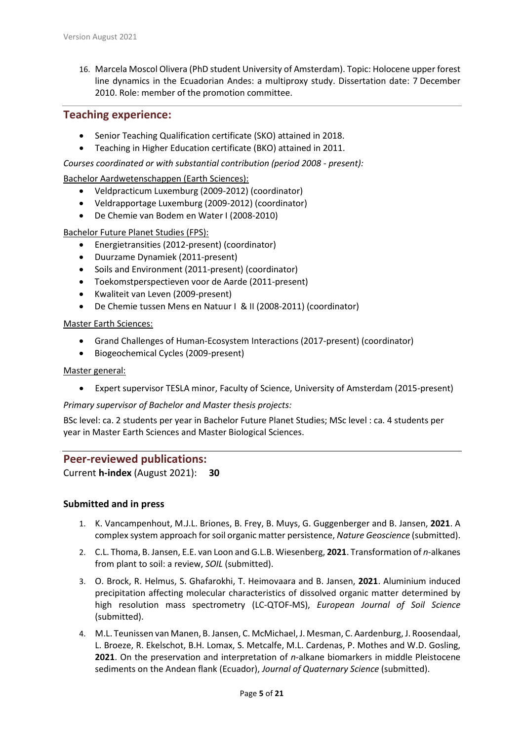16. Marcela Moscol Olivera (PhD student University of Amsterdam). Topic: Holocene upper forest line dynamics in the Ecuadorian Andes: a multiproxy study. Dissertation date: 7 December 2010. Role: member of the promotion committee.

## **Teaching experience:**

- Senior Teaching Qualification certificate (SKO) attained in 2018.
- Teaching in Higher Education certificate (BKO) attained in 2011.

*Courses coordinated or with substantial contribution (period 2008 - present):* 

Bachelor Aardwetenschappen (Earth Sciences):

- Veldpracticum Luxemburg (2009-2012) (coordinator)
- Veldrapportage Luxemburg (2009-2012) (coordinator)
- De Chemie van Bodem en Water I (2008-2010)

Bachelor Future Planet Studies (FPS):

- Energietransities (2012-present) (coordinator)
- Duurzame Dynamiek (2011-present)
- Soils and Environment (2011-present) (coordinator)
- Toekomstperspectieven voor de Aarde (2011-present)
- Kwaliteit van Leven (2009-present)
- De Chemie tussen Mens en Natuur I & II (2008-2011) (coordinator)

#### Master Earth Sciences:

- Grand Challenges of Human-Ecosystem Interactions (2017-present) (coordinator)
- Biogeochemical Cycles (2009-present)

#### Master general:

• Expert supervisor TESLA minor, Faculty of Science, University of Amsterdam (2015-present)

*Primary supervisor of Bachelor and Master thesis projects:*

BSc level: ca. 2 students per year in Bachelor Future Planet Studies; MSc level : ca. 4 students per year in Master Earth Sciences and Master Biological Sciences.

#### **Peer-reviewed publications:**

Current **h-index** (August 2021): **30**

#### **Submitted and in press**

- 1. K. Vancampenhout, M.J.L. Briones, B. Frey, B. Muys, G. Guggenberger and B. Jansen, **2021**. A complex system approach for soil organic matter persistence, *Nature Geoscience* (submitted).
- 2. C.L. Thoma, B. Jansen, E.E. van Loon and G.L.B. Wiesenberg, **2021**. Transformation of *n*-alkanes from plant to soil: a review, *SOIL* (submitted).
- 3. O. Brock, R. Helmus, S. Ghafarokhi, T. Heimovaara and B. Jansen, **2021**. Aluminium induced precipitation affecting molecular characteristics of dissolved organic matter determined by high resolution mass spectrometry (LC-QTOF-MS), *European Journal of Soil Science* (submitted).
- 4. M.L. Teunissen van Manen, B. Jansen, C. McMichael, J. Mesman, C. Aardenburg, J. Roosendaal, L. Broeze, R. Ekelschot, B.H. Lomax, S. Metcalfe, M.L. Cardenas, P. Mothes and W.D. Gosling, **2021**. On the preservation and interpretation of *n*-alkane biomarkers in middle Pleistocene sediments on the Andean flank (Ecuador), *Journal of Quaternary Science* (submitted).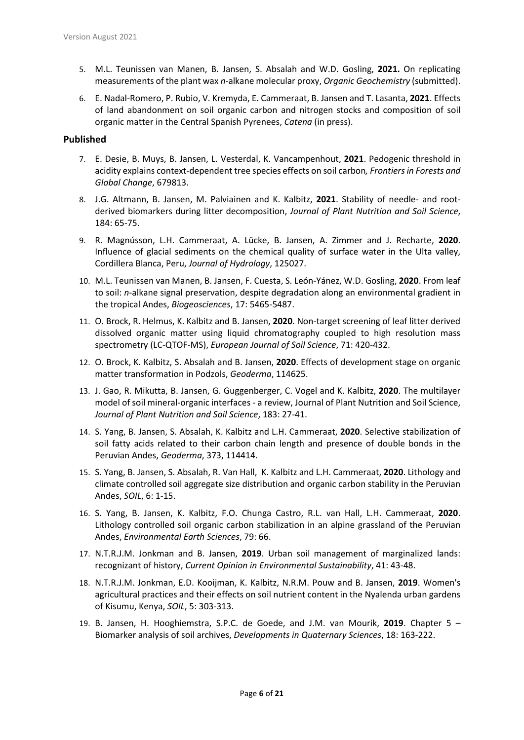- 5. M.L. Teunissen van Manen, B. Jansen, S. Absalah and W.D. Gosling, **2021.** On replicating measurements of the plant wax *n-*alkane molecular proxy, *Organic Geochemistry* (submitted).
- 6. E. Nadal-Romero, P. Rubio, V. Kremyda, E. Cammeraat, B. Jansen and T. Lasanta, **2021**. Effects of land abandonment on soil organic carbon and nitrogen stocks and composition of soil organic matter in the Central Spanish Pyrenees, *Catena* (in press).

#### **Published**

- 7. E. Desie, B. Muys, B. Jansen, L. Vesterdal, K. Vancampenhout, **2021**. Pedogenic threshold in acidity explains context-dependent tree species effects on soil carbon*, Frontiers in Forests and Global Change*, 679813.
- 8. J.G. Altmann, B. Jansen, M. Palviainen and K. Kalbitz, **2021**. Stability of needle- and rootderived biomarkers during litter decomposition, *Journal of Plant Nutrition and Soil Science*, 184: 65-75.
- 9. R. Magnússon, L.H. Cammeraat, A. Lücke, B. Jansen, A. Zimmer and J. Recharte, **2020**. Influence of glacial sediments on the chemical quality of surface water in the Ulta valley, Cordillera Blanca, Peru, *Journal of Hydrology*, 125027.
- 10. M.L. Teunissen van Manen, B. Jansen, F. Cuesta, S. León-Yánez, W.D. Gosling, **2020**. From leaf to soil: *n*-alkane signal preservation, despite degradation along an environmental gradient in the tropical Andes, *Biogeosciences*, 17: 5465-5487.
- 11. O. Brock, R. Helmus, K. Kalbitz and B. Jansen, **2020**. Non-target screening of leaf litter derived dissolved organic matter using liquid chromatography coupled to high resolution mass spectrometry (LC-QTOF-MS), *European Journal of Soil Science*, 71: 420-432.
- 12. O. Brock, K. Kalbitz, S. Absalah and B. Jansen, **2020**. Effects of development stage on organic matter transformation in Podzols, *Geoderma*, 114625.
- 13. J. Gao, R. Mikutta, B. Jansen, G. Guggenberger, C. Vogel and K. Kalbitz, **2020**. The multilayer model of soil mineral-organic interfaces - a review, Journal of Plant Nutrition and Soil Science, *Journal of Plant Nutrition and Soil Science*, 183: 27-41.
- 14. S. Yang, B. Jansen, S. Absalah, K. Kalbitz and L.H. Cammeraat, **2020**. Selective stabilization of soil fatty acids related to their carbon chain length and presence of double bonds in the Peruvian Andes, *Geoderma*, 373, 114414.
- 15. S. Yang, B. Jansen, S. Absalah, R. Van Hall, K. Kalbitz and L.H. Cammeraat, **2020**. Lithology and climate controlled soil aggregate size distribution and organic carbon stability in the Peruvian Andes, *SOIL*, 6: 1-15.
- 16. S. Yang, B. Jansen, K. Kalbitz, F.O. Chunga Castro, R.L. van Hall, L.H. Cammeraat, **2020**. Lithology controlled soil organic carbon stabilization in an alpine grassland of the Peruvian Andes, *Environmental Earth Sciences*, 79: 66.
- 17. N.T.R.J.M. Jonkman and B. Jansen, **2019**. Urban soil management of marginalized lands: recognizant of history, *Current Opinion in Environmental Sustainability*, 41: 43-48.
- 18. N.T.R.J.M. Jonkman, E.D. Kooijman, K. Kalbitz, N.R.M. Pouw and B. Jansen, **2019**. Women's agricultural practices and their effects on soil nutrient content in the Nyalenda urban gardens of Kisumu, Kenya, *SOIL*, 5: 303-313.
- 19. B. Jansen, H. Hooghiemstra, S.P.C. de Goede, and J.M. van Mourik, **2019**. Chapter 5 Biomarker analysis of soil archives, *Developments in Quaternary Sciences*, 18: 163-222.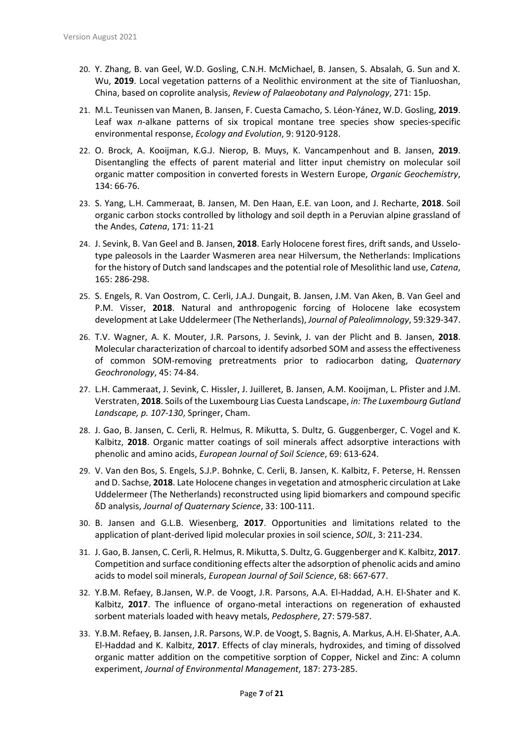- 20. Y. Zhang, B. van Geel, W.D. Gosling, C.N.H. McMichael, B. Jansen, S. Absalah, G. Sun and X. Wu, **2019**. Local vegetation patterns of a Neolithic environment at the site of Tianluoshan, China, based on coprolite analysis, *Review of Palaeobotany and Palynology*, 271: 15p.
- 21. M.L. Teunissen van Manen, B. Jansen, F. Cuesta Camacho, S. Léon-Yánez, W.D. Gosling, **2019**. Leaf wax *n*-alkane patterns of six tropical montane tree species show species-specific environmental response, *Ecology and Evolution*, 9: 9120-9128.
- 22. O. Brock, A. Kooijman, K.G.J. Nierop, B. Muys, K. Vancampenhout and B. Jansen, **2019**. Disentangling the effects of parent material and litter input chemistry on molecular soil organic matter composition in converted forests in Western Europe, *Organic Geochemistry*, 134: 66-76.
- 23. S. Yang, L.H. Cammeraat, B. Jansen, M. Den Haan, E.E. van Loon, and J. Recharte, **2018**. Soil organic carbon stocks controlled by lithology and soil depth in a Peruvian alpine grassland of the Andes, *Catena*, 171: 11-21
- 24. J. Sevink, B. Van Geel and B. Jansen, **2018**. Early Holocene forest fires, drift sands, and Usselotype paleosols in the Laarder Wasmeren area near Hilversum, the Netherlands: Implications for the history of Dutch sand landscapes and the potential role of Mesolithic land use, *Catena*, 165: 286-298.
- 25. S. Engels, R. Van Oostrom, C. Cerli, J.A.J. Dungait, B. Jansen, J.M. Van Aken, B. Van Geel and P.M. Visser, **2018**. Natural and anthropogenic forcing of Holocene lake ecosystem development at Lake Uddelermeer (The Netherlands), *Journal of Paleolimnology*, 59:329-347.
- 26. T.V. Wagner, A. K. Mouter, J.R. Parsons, J. Sevink, J. van der Plicht and B. Jansen, **2018**. Molecular characterization of charcoal to identify adsorbed SOM and assess the effectiveness of common SOM-removing pretreatments prior to radiocarbon dating, *Quaternary Geochronology*, 45: 74-84.
- 27. L.H. Cammeraat, J. Sevink, C. Hissler, J. Juilleret, B. Jansen, A.M. Kooijman, L. Pfister and J.M. Verstraten, **2018**. Soils of the Luxembourg Lias Cuesta Landscape, *in: The Luxembourg Gutland Landscape, p. 107-130*, Springer, Cham.
- 28. J. Gao, B. Jansen, C. Cerli, R. Helmus, R. Mikutta, S. Dultz, G. Guggenberger, C. Vogel and K. Kalbitz, **2018**. Organic matter coatings of soil minerals affect adsorptive interactions with phenolic and amino acids, *European Journal of Soil Science*, 69: 613-624.
- 29. V. Van den Bos, S. Engels, S.J.P. Bohnke, C. Cerli, B. Jansen, K. Kalbitz, F. Peterse, H. Renssen and D. Sachse, **2018**. Late Holocene changes in vegetation and atmospheric circulation at Lake Uddelermeer (The Netherlands) reconstructed using lipid biomarkers and compound specific δD analysis, *Journal of Quaternary Science*, 33: 100-111.
- 30. B. Jansen and G.L.B. Wiesenberg, **2017**. Opportunities and limitations related to the application of plant-derived lipid molecular proxies in soil science, *SOIL*, 3: 211-234.
- 31. J. Gao, B. Jansen, C. Cerli, R. Helmus, R. Mikutta, S. Dultz, G. Guggenberger and K. Kalbitz, **2017**. Competition and surface conditioning effects alter the adsorption of phenolic acids and amino acids to model soil minerals, *European Journal of Soil Science*, 68: 667-677.
- 32. Y.B.M. Refaey, B.Jansen, W.P. de Voogt, J.R. Parsons, A.A. El-Haddad, A.H. El-Shater and K. Kalbitz, **2017**. The influence of organo-metal interactions on regeneration of exhausted sorbent materials loaded with heavy metals, *Pedosphere*, 27: 579-587.
- 33. Y.B.M. Refaey, B. Jansen, J.R. Parsons, W.P. de Voogt, S. Bagnis, A. Markus, A.H. El-Shater, A.A. El-Haddad and K. Kalbitz, **2017**. Effects of clay minerals, hydroxides, and timing of dissolved organic matter addition on the competitive sorption of Copper, Nickel and Zinc: A column experiment, *Journal of Environmental Management*, 187: 273-285.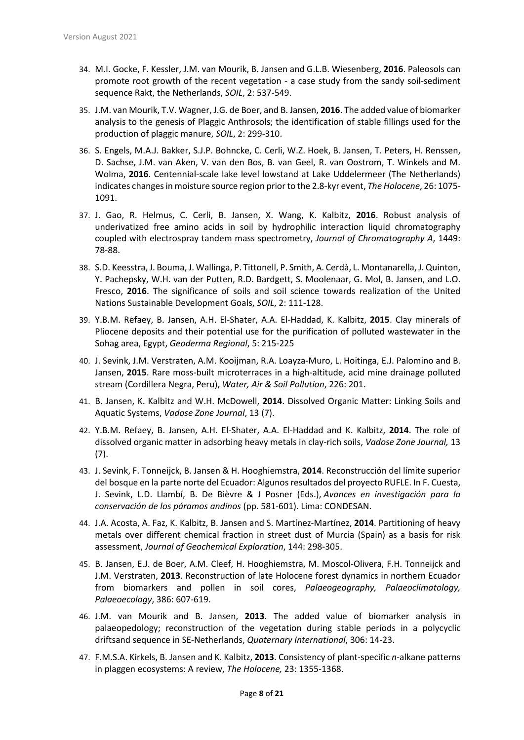- 34. M.I. Gocke, F. Kessler, J.M. van Mourik, B. Jansen and G.L.B. Wiesenberg, **2016**. Paleosols can promote root growth of the recent vegetation - a case study from the sandy soil-sediment sequence Rakt, the Netherlands, *SOIL*, 2: 537-549.
- 35. J.M. van Mourik, T.V. Wagner, J.G. de Boer, and B. Jansen, **2016**. The added value of biomarker analysis to the genesis of Plaggic Anthrosols; the identification of stable fillings used for the production of plaggic manure, *SOIL*, 2: 299-310.
- 36. S. Engels, M.A.J. Bakker, S.J.P. Bohncke, C. Cerli, W.Z. Hoek, B. Jansen, T. Peters, H. Renssen, D. Sachse, J.M. van Aken, V. van den Bos, B. van Geel, R. van Oostrom, T. Winkels and M. Wolma, **2016**. Centennial-scale lake level lowstand at Lake Uddelermeer (The Netherlands) indicates changes in moisture source region prior to the 2.8-kyr event, *The Holocene*, 26: 1075- 1091.
- 37. J. Gao, R. Helmus, C. Cerli, B. Jansen, X. Wang, K. Kalbitz, **2016**. Robust analysis of underivatized free amino acids in soil by hydrophilic interaction liquid chromatography coupled with electrospray tandem mass spectrometry, *Journal of Chromatography A*, 1449: 78-88.
- 38. S.D. Keesstra, J. Bouma, J. Wallinga, P. Tittonell, P. Smith, A. Cerdà, L. Montanarella, J. Quinton, Y. Pachepsky, W.H. van der Putten, R.D. Bardgett, S. Moolenaar, G. Mol, B. Jansen, and L.O. Fresco, **2016**. The significance of soils and soil science towards realization of the United Nations Sustainable Development Goals, *SOIL*, 2: 111-128.
- 39. Y.B.M. Refaey, B. Jansen, A.H. El-Shater, A.A. El-Haddad, K. Kalbitz, **2015**. Clay minerals of Pliocene deposits and their potential use for the purification of polluted wastewater in the Sohag area, Egypt, *Geoderma Regional*, 5: 215-225
- 40. J. Sevink, J.M. Verstraten, A.M. Kooijman, R.A. Loayza-Muro, L. Hoitinga, E.J. Palomino and B. Jansen, **2015**. Rare moss-built microterraces in a high-altitude, acid mine drainage polluted stream (Cordillera Negra, Peru), *Water, Air & Soil Pollution*, 226: 201.
- 41. B. Jansen, K. Kalbitz and W.H. McDowell, **2014**. Dissolved Organic Matter: Linking Soils and Aquatic Systems, *Vadose Zone Journal*, 13 (7).
- 42. Y.B.M. Refaey, B. Jansen, A.H. El-Shater, A.A. El-Haddad and K. Kalbitz, **2014**. The role of dissolved organic matter in adsorbing heavy metals in clay-rich soils, *Vadose Zone Journal,* 13 (7).
- 43. J. Sevink, F. Tonneijck, B. Jansen & H. Hooghiemstra, **2014**. Reconstrucción del límite superior del bosque en la parte norte del Ecuador: Algunos resultados del proyecto RUFLE. In F. Cuesta, J. Sevink, L.D. Llambí, B. De Bièvre & J Posner (Eds.), *Avances en investigación para la conservación de los páramos andinos* (pp. 581-601). Lima: CONDESAN.
- 44. J.A. Acosta, A. Faz, K. Kalbitz, B. Jansen and S. Martínez-Martínez, **2014**. Partitioning of heavy metals over different chemical fraction in street dust of Murcia (Spain) as a basis for risk assessment, *Journal of Geochemical Exploration*, 144: 298-305.
- 45. B. Jansen, E.J. de Boer, A.M. Cleef, H. Hooghiemstra, M. Moscol-Olivera, F.H. Tonneijck and J.M. Verstraten, **2013**. Reconstruction of late Holocene forest dynamics in northern Ecuador from biomarkers and pollen in soil cores, *Palaeogeography, Palaeoclimatology, Palaeoecology*, 386: 607-619.
- 46. J.M. van Mourik and B. Jansen, **2013**. The added value of biomarker analysis in palaeopedology; reconstruction of the vegetation during stable periods in a polycyclic driftsand sequence in SE-Netherlands, *Quaternary International*, 306: 14-23.
- 47. F.M.S.A. Kirkels, B. Jansen and K. Kalbitz, **2013**. Consistency of plant-specific *n*-alkane patterns in plaggen ecosystems: A review, *The Holocene,* 23: 1355-1368.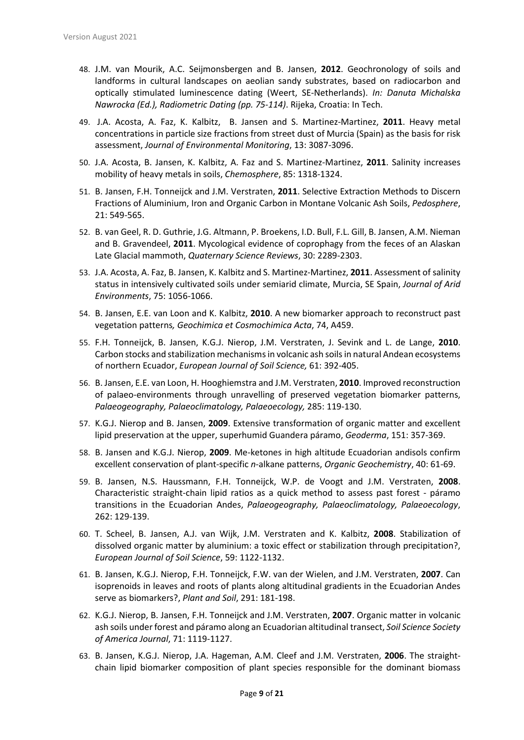- 48. J.M. van Mourik, A.C. Seijmonsbergen and B. Jansen, **2012**. Geochronology of soils and landforms in cultural landscapes on aeolian sandy substrates, based on radiocarbon and optically stimulated luminescence dating (Weert, SE-Netherlands). *In: Danuta Michalska Nawrocka (Ed.), Radiometric Dating (pp. 75-114)*. Rijeka, Croatia: In Tech.
- 49. J.A. Acosta, A. Faz, K. Kalbitz, B. Jansen and S. Martinez-Martinez, **2011**. Heavy metal concentrations in particle size fractions from street dust of Murcia (Spain) as the basis for risk assessment, *Journal of Environmental Monitoring*, 13: 3087-3096.
- 50. J.A. Acosta, B. Jansen, K. Kalbitz, A. Faz and S. Martinez-Martinez, **2011**. Salinity increases mobility of heavy metals in soils, *Chemosphere*, 85: 1318-1324.
- 51. B. Jansen, F.H. Tonneijck and J.M. Verstraten, **2011**. Selective Extraction Methods to Discern Fractions of Aluminium, Iron and Organic Carbon in Montane Volcanic Ash Soils, *Pedosphere*, 21: 549-565.
- 52. B. van Geel, R. D. Guthrie, J.G. Altmann, P. Broekens, I.D. Bull, F.L. Gill, B. Jansen, A.M. Nieman and B. Gravendeel, **2011**. Mycological evidence of coprophagy from the feces of an Alaskan Late Glacial mammoth, *Quaternary Science Reviews*, 30: 2289-2303.
- 53. J.A. Acosta, A. Faz, B. Jansen, K. Kalbitz and S. Martinez-Martinez, **2011**. Assessment of salinity status in intensively cultivated soils under semiarid climate, Murcia, SE Spain, *Journal of Arid Environments*, 75: 1056-1066.
- 54. B. Jansen, E.E. van Loon and K. Kalbitz, **2010**. A new biomarker approach to reconstruct past vegetation patterns*, Geochimica et Cosmochimica Acta*, 74, A459.
- 55. F.H. Tonneijck, B. Jansen, K.G.J. Nierop, J.M. Verstraten, J. Sevink and L. de Lange, **2010**. Carbon stocks and stabilization mechanisms in volcanic ash soils in natural Andean ecosystems of northern Ecuador, *European Journal of Soil Science,* 61: 392-405.
- 56. B. Jansen, E.E. van Loon, H. Hooghiemstra and J.M. Verstraten, **2010**. Improved reconstruction of palaeo-environments through unravelling of preserved vegetation biomarker patterns, *Palaeogeography, Palaeoclimatology, Palaeoecology,* 285: 119-130.
- 57. K.G.J. Nierop and B. Jansen, **2009**. Extensive transformation of organic matter and excellent lipid preservation at the upper, superhumid Guandera páramo, *Geoderma*, 151: 357-369.
- 58. B. Jansen and K.G.J. Nierop, **2009**. Me-ketones in high altitude Ecuadorian andisols confirm excellent conservation of plant-specific *n*-alkane patterns, *Organic Geochemistry*, 40: 61-69.
- 59. B. Jansen, N.S. Haussmann, F.H. Tonneijck, W.P. de Voogt and J.M. Verstraten, **2008**. Characteristic straight-chain lipid ratios as a quick method to assess past forest - páramo transitions in the Ecuadorian Andes, *Palaeogeography, Palaeoclimatology, Palaeoecology*, 262: 129-139.
- 60. T. Scheel, B. Jansen, A.J. van Wijk, J.M. Verstraten and K. Kalbitz, **2008**. Stabilization of dissolved organic matter by aluminium: a toxic effect or stabilization through precipitation?, *European Journal of Soil Science*, 59: 1122-1132.
- 61. B. Jansen, K.G.J. Nierop, F.H. Tonneijck, F.W. van der Wielen, and J.M. Verstraten, **2007**. Can isoprenoids in leaves and roots of plants along altitudinal gradients in the Ecuadorian Andes serve as biomarkers?, *Plant and Soil*, 291: 181-198.
- 62. K.G.J. Nierop, B. Jansen, F.H. Tonneijck and J.M. Verstraten, **2007**. Organic matter in volcanic ash soils under forest and páramo along an Ecuadorian altitudinal transect, *Soil Science Society of America Journal*, 71: 1119-1127.
- 63. B. Jansen, K.G.J. Nierop, J.A. Hageman, A.M. Cleef and J.M. Verstraten, **2006**. The straightchain lipid biomarker composition of plant species responsible for the dominant biomass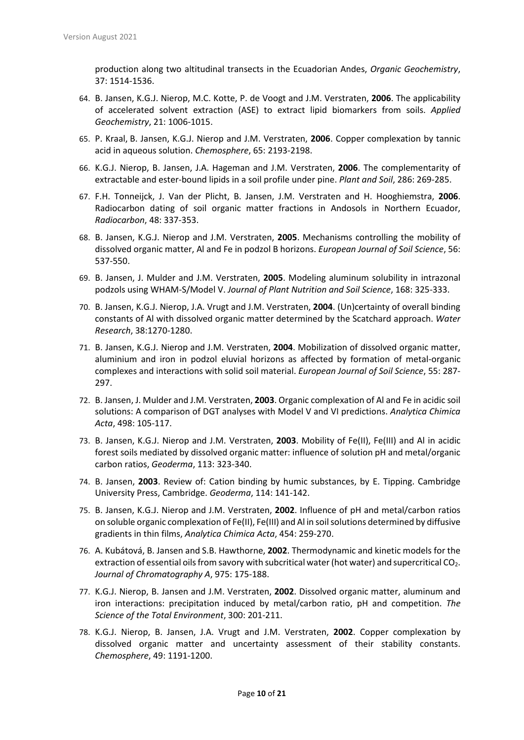production along two altitudinal transects in the Ecuadorian Andes, *Organic Geochemistry*, 37: 1514-1536.

- 64. B. Jansen, K.G.J. Nierop, M.C. Kotte, P. de Voogt and J.M. Verstraten, **2006**. The applicability of accelerated solvent extraction (ASE) to extract lipid biomarkers from soils. *Applied Geochemistry*, 21: 1006-1015.
- 65. P. Kraal, B. Jansen, K.G.J. Nierop and J.M. Verstraten, **2006**. Copper complexation by tannic acid in aqueous solution. *Chemosphere*, 65: 2193-2198.
- 66. K.G.J. Nierop, B. Jansen, J.A. Hageman and J.M. Verstraten, **2006**. The complementarity of extractable and ester-bound lipids in a soil profile under pine. *Plant and Soil*, 286: 269-285.
- 67. F.H. Tonneijck, J. Van der Plicht, B. Jansen, J.M. Verstraten and H. Hooghiemstra, **2006**. Radiocarbon dating of soil organic matter fractions in Andosols in Northern Ecuador, *Radiocarbon*, 48: 337-353.
- 68. B. Jansen, K.G.J. Nierop and J.M. Verstraten, **2005**. Mechanisms controlling the mobility of dissolved organic matter, Al and Fe in podzol B horizons. *European Journal of Soil Science*, 56: 537-550.
- 69. B. Jansen, J. Mulder and J.M. Verstraten, **2005**. Modeling aluminum solubility in intrazonal podzols using WHAM-S/Model V. *Journal of Plant Nutrition and Soil Science*, 168: 325-333.
- 70. B. Jansen, K.G.J. Nierop, J.A. Vrugt and J.M. Verstraten, **2004**. (Un)certainty of overall binding constants of Al with dissolved organic matter determined by the Scatchard approach. *Water Research*, 38:1270-1280.
- 71. B. Jansen, K.G.J. Nierop and J.M. Verstraten, **2004**. Mobilization of dissolved organic matter, aluminium and iron in podzol eluvial horizons as affected by formation of metal-organic complexes and interactions with solid soil material. *European Journal of Soil Science*, 55: 287- 297.
- 72. B. Jansen, J. Mulder and J.M. Verstraten, **2003**. Organic complexation of Al and Fe in acidic soil solutions: A comparison of DGT analyses with Model V and VI predictions. *Analytica Chimica Acta*, 498: 105-117.
- 73. B. Jansen, K.G.J. Nierop and J.M. Verstraten, **2003**. Mobility of Fe(II), Fe(III) and Al in acidic forest soils mediated by dissolved organic matter: influence of solution pH and metal/organic carbon ratios, *Geoderma*, 113: 323-340.
- 74. B. Jansen, **2003**. Review of: Cation binding by humic substances, by E. Tipping. Cambridge University Press, Cambridge. *Geoderma*, 114: 141-142.
- 75. B. Jansen, K.G.J. Nierop and J.M. Verstraten, **2002**. Influence of pH and metal/carbon ratios on soluble organic complexation of Fe(II), Fe(III) and Al in soil solutions determined by diffusive gradients in thin films, *Analytica Chimica Acta*, 454: 259-270.
- 76. A. Kubátová, B. Jansen and S.B. Hawthorne, **2002**. Thermodynamic and kinetic models for the extraction of essential oils from savory with subcritical water (hot water) and supercritical  $CO<sub>2</sub>$ . *Journal of Chromatography A*, 975: 175-188.
- 77. K.G.J. Nierop, B. Jansen and J.M. Verstraten, **2002**. Dissolved organic matter, aluminum and iron interactions: precipitation induced by metal/carbon ratio, pH and competition. *The Science of the Total Environment*, 300: 201-211.
- 78. K.G.J. Nierop, B. Jansen, J.A. Vrugt and J.M. Verstraten, **2002**. Copper complexation by dissolved organic matter and uncertainty assessment of their stability constants. *Chemosphere*, 49: 1191-1200.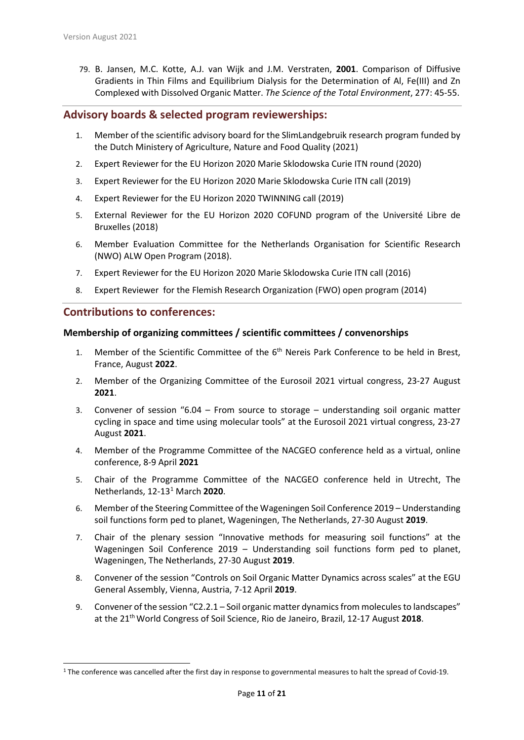79. B. Jansen, M.C. Kotte, A.J. van Wijk and J.M. Verstraten, **2001**. Comparison of Diffusive Gradients in Thin Films and Equilibrium Dialysis for the Determination of Al, Fe(III) and Zn Complexed with Dissolved Organic Matter. *The Science of the Total Environment*, 277: 45-55.

## **Advisory boards & selected program reviewerships:**

- 1. Member of the scientific advisory board for the SlimLandgebruik research program funded by the Dutch Ministery of Agriculture, Nature and Food Quality (2021)
- 2. Expert Reviewer for the EU Horizon 2020 Marie Sklodowska Curie ITN round (2020)
- 3. Expert Reviewer for the EU Horizon 2020 Marie Sklodowska Curie ITN call (2019)
- 4. Expert Reviewer for the EU Horizon 2020 TWINNING call (2019)
- 5. External Reviewer for the EU Horizon 2020 COFUND program of the Université Libre de Bruxelles (2018)
- 6. Member Evaluation Committee for the Netherlands Organisation for Scientific Research (NWO) ALW Open Program (2018).
- 7. Expert Reviewer for the EU Horizon 2020 Marie Sklodowska Curie ITN call (2016)
- 8. Expert Reviewer for the Flemish Research Organization (FWO) open program (2014)

## **Contributions to conferences:**

#### **Membership of organizing committees / scientific committees / convenorships**

- 1. Member of the Scientific Committee of the 6<sup>th</sup> Nereis Park Conference to be held in Brest, France, August **2022**.
- 2. Member of the Organizing Committee of the Eurosoil 2021 virtual congress, 23-27 August **2021**.
- 3. Convener of session "6.04 From source to storage understanding soil organic matter cycling in space and time using molecular tools" at the Eurosoil 2021 virtual congress, 23-27 August **2021**.
- 4. Member of the Programme Committee of the NACGEO conference held as a virtual, online conference, 8-9 April **2021**
- 5. Chair of the Programme Committee of the NACGEO conference held in Utrecht, The Netherlands, 12-13[1](#page-10-0) March **2020**.
- 6. Member of the Steering Committee of the Wageningen Soil Conference 2019 Understanding soil functions form ped to planet, Wageningen, The Netherlands, 27-30 August **2019**.
- 7. Chair of the plenary session "Innovative methods for measuring soil functions" at the Wageningen Soil Conference 2019 – Understanding soil functions form ped to planet, Wageningen, The Netherlands, 27-30 August **2019**.
- 8. Convener of the session "Controls on Soil Organic Matter Dynamics across scales" at the EGU General Assembly, Vienna, Austria, 7-12 April **2019**.
- 9. Convener of the session "C2.2.1 Soil organic matter dynamics from molecules to landscapes" at the 21<sup>th</sup> World Congress of Soil Science, Rio de Janeiro, Brazil, 12-17 August 2018.

<span id="page-10-0"></span><sup>&</sup>lt;sup>1</sup> The conference was cancelled after the first day in response to governmental measures to halt the spread of Covid-19.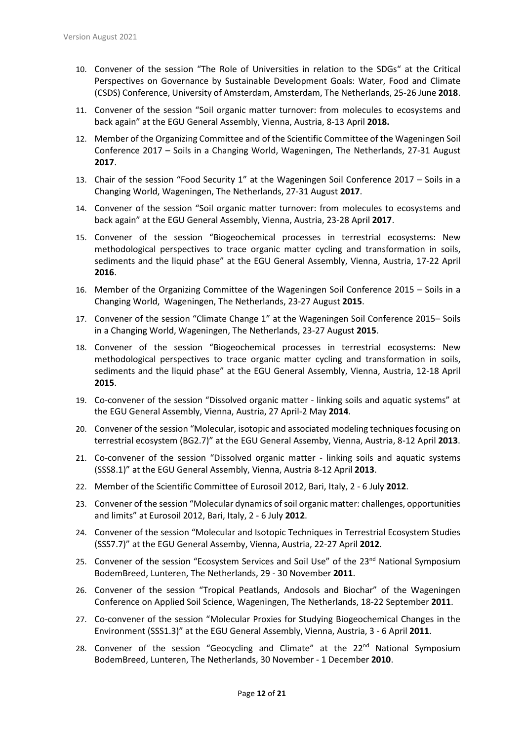- 10. Convener of the session "The Role of Universities in relation to the SDGs" at the Critical Perspectives on Governance by Sustainable Development Goals: Water, Food and Climate (CSDS) Conference, University of Amsterdam, Amsterdam, The Netherlands, 25-26 June **2018**.
- 11. Convener of the session "Soil organic matter turnover: from molecules to ecosystems and back again" at the EGU General Assembly, Vienna, Austria, 8-13 April **2018.**
- 12. Member of the Organizing Committee and of the Scientific Committee of the Wageningen Soil Conference 2017 – Soils in a Changing World, Wageningen, The Netherlands, 27-31 August **2017**.
- 13. Chair of the session "Food Security 1" at the Wageningen Soil Conference 2017 Soils in a Changing World, Wageningen, The Netherlands, 27-31 August **2017**.
- 14. Convener of the session "Soil organic matter turnover: from molecules to ecosystems and back again" at the EGU General Assembly, Vienna, Austria, 23-28 April **2017**.
- 15. Convener of the session "Biogeochemical processes in terrestrial ecosystems: New methodological perspectives to trace organic matter cycling and transformation in soils, sediments and the liquid phase" at the EGU General Assembly, Vienna, Austria, 17-22 April **2016**.
- 16. Member of the Organizing Committee of the Wageningen Soil Conference 2015 Soils in a Changing World, Wageningen, The Netherlands, 23-27 August **2015**.
- 17. Convener of the session "Climate Change 1" at the Wageningen Soil Conference 2015– Soils in a Changing World, Wageningen, The Netherlands, 23-27 August **2015**.
- 18. Convener of the session "Biogeochemical processes in terrestrial ecosystems: New methodological perspectives to trace organic matter cycling and transformation in soils, sediments and the liquid phase" at the EGU General Assembly, Vienna, Austria, 12-18 April **2015**.
- 19. Co-convener of the session "Dissolved organic matter linking soils and aquatic systems" at the EGU General Assembly, Vienna, Austria, 27 April-2 May **2014**.
- 20. Convener of the session "Molecular, isotopic and associated modeling techniques focusing on terrestrial ecosystem (BG2.7)" at the EGU General Assemby, Vienna, Austria, 8-12 April **2013**.
- 21. Co-convener of the session "Dissolved organic matter linking soils and aquatic systems (SSS8.1)" at the EGU General Assembly, Vienna, Austria 8-12 April **2013**.
- 22. Member of the Scientific Committee of Eurosoil 2012, Bari, Italy, 2 6 July **2012**.
- 23. Convener of the session "Molecular dynamics of soil organic matter: challenges, opportunities and limits" at Eurosoil 2012, Bari, Italy, 2 - 6 July **2012**.
- 24. Convener of the session "Molecular and Isotopic Techniques in Terrestrial Ecosystem Studies (SSS7.7)" at the EGU General Assemby, Vienna, Austria, 22-27 April **2012**.
- 25. Convener of the session "Ecosystem Services and Soil Use" of the 23<sup>nd</sup> National Symposium BodemBreed, Lunteren, The Netherlands, 29 - 30 November **2011**.
- 26. Convener of the session "Tropical Peatlands, Andosols and Biochar" of the Wageningen Conference on Applied Soil Science, Wageningen, The Netherlands, 18-22 September **2011**.
- 27. Co-convener of the session "Molecular Proxies for Studying Biogeochemical Changes in the Environment (SSS1.3)" at the EGU General Assembly, Vienna, Austria, 3 - 6 April **2011**.
- 28. Convener of the session "Geocycling and Climate" at the 22<sup>nd</sup> National Symposium BodemBreed, Lunteren, The Netherlands, 30 November - 1 December **2010**.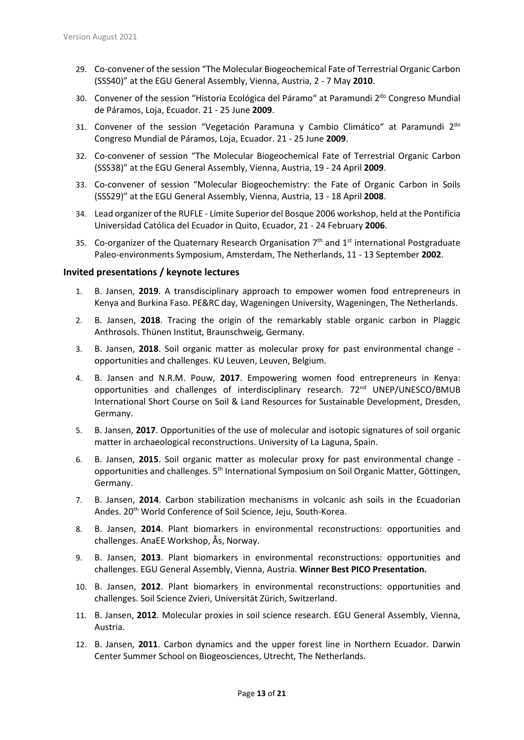- 29. Co-convener of the session "The Molecular Biogeochemical Fate of Terrestrial Organic Carbon (SSS40)" at the EGU General Assembly, Vienna, Austria, 2 - 7 May **2010**.
- 30. Convener of the session "Historia Ecológica del Páramo" at Paramundi  $2^{d}$  Congreso Mundial de Páramos, Loja, Ecuador. 21 - 25 June **2009**.
- 31. Convener of the session "Vegetación Paramuna y Cambio Climático" at Paramundi 2<sup>do</sup> Congreso Mundial de Páramos, Loja, Ecuador. 21 - 25 June **2009**.
- 32. Co-convener of session "The Molecular Biogeochemical Fate of Terrestrial Organic Carbon (SSS38)" at the EGU General Assembly, Vienna, Austria, 19 - 24 April **2009**.
- 33. Co-convener of session "Molecular Biogeochemistry: the Fate of Organic Carbon in Soils (SSS29)" at the EGU General Assembly, Vienna, Austria, 13 - 18 April **2008**.
- 34. Lead organizer of the RUFLE Límite Superior del Bosque 2006 workshop, held at the Pontificia Universidad Católica del Ecuador in Quito, Ecuador, 21 - 24 February **2006**.
- 35. Co-organizer of the Quaternary Research Organisation  $7<sup>th</sup>$  and  $1<sup>st</sup>$  international Postgraduate Paleo-environments Symposium, Amsterdam, The Netherlands, 11 - 13 September **2002**.

#### **Invited presentations / keynote lectures**

- 1. B. Jansen, **2019**. A transdisciplinary approach to empower women food entrepreneurs in Kenya and Burkina Faso. PE&RC day, Wageningen University, Wageningen, The Netherlands.
- 2. B. Jansen, **2018**. Tracing the origin of the remarkably stable organic carbon in Plaggic Anthrosols. Thünen Institut, Braunschweig, Germany.
- 3. B. Jansen, **2018**. Soil organic matter as molecular proxy for past environmental change opportunities and challenges. KU Leuven, Leuven, Belgium.
- 4. B. Jansen and N.R.M. Pouw, **2017**. Empowering women food entrepreneurs in Kenya: opportunities and challenges of interdisciplinary research. 72<sup>nd</sup> UNEP/UNESCO/BMUB International Short Course on Soil & Land Resources for Sustainable Development, Dresden, Germany.
- 5. B. Jansen, **2017**. Opportunities of the use of molecular and isotopic signatures of soil organic matter in archaeological reconstructions. University of La Laguna, Spain.
- 6. B. Jansen, **2015**. Soil organic matter as molecular proxy for past environmental change opportunities and challenges. 5<sup>th</sup> International Symposium on Soil Organic Matter, Göttingen, Germany.
- 7. B. Jansen, **2014**. Carbon stabilization mechanisms in volcanic ash soils in the Ecuadorian Andes. 20<sup>th</sup> World Conference of Soil Science, Jeju, South-Korea.
- 8. B. Jansen, **2014**. Plant biomarkers in environmental reconstructions: opportunities and challenges. AnaEE Workshop, Ås, Norway.
- 9. B. Jansen, **2013**. Plant biomarkers in environmental reconstructions: opportunities and challenges. EGU General Assembly, Vienna, Austria. **Winner Best PICO Presentation.**
- 10. B. Jansen, **2012**. Plant biomarkers in environmental reconstructions: opportunities and challenges. Soil Science Zvieri, Universität Zürich, Switzerland.
- 11. B. Jansen, **2012**. Molecular proxies in soil science research. EGU General Assembly, Vienna, Austria.
- 12. B. Jansen, **2011**. Carbon dynamics and the upper forest line in Northern Ecuador. Darwin Center Summer School on Biogeosciences, Utrecht, The Netherlands.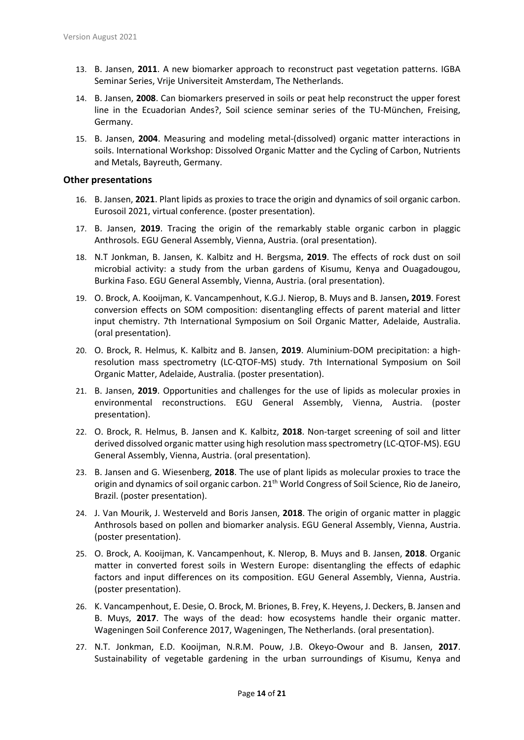- 13. B. Jansen, **2011**. A new biomarker approach to reconstruct past vegetation patterns. IGBA Seminar Series, Vrije Universiteit Amsterdam, The Netherlands.
- 14. B. Jansen, **2008**. Can biomarkers preserved in soils or peat help reconstruct the upper forest line in the Ecuadorian Andes?, Soil science seminar series of the TU-München, Freising, Germany.
- 15. B. Jansen, **2004**. Measuring and modeling metal-(dissolved) organic matter interactions in soils. International Workshop: Dissolved Organic Matter and the Cycling of Carbon, Nutrients and Metals, Bayreuth, Germany.

#### **Other presentations**

- 16. B. Jansen, **2021**. Plant lipids as proxies to trace the origin and dynamics of soil organic carbon. Eurosoil 2021, virtual conference. (poster presentation).
- 17. B. Jansen, **2019**. Tracing the origin of the remarkably stable organic carbon in plaggic Anthrosols. EGU General Assembly, Vienna, Austria. (oral presentation).
- 18. N.T Jonkman, B. Jansen, K. Kalbitz and H. Bergsma, **2019**. The effects of rock dust on soil microbial activity: a study from the urban gardens of Kisumu, Kenya and Ouagadougou, Burkina Faso. EGU General Assembly, Vienna, Austria. (oral presentation).
- 19. O. Brock, A. Kooijman, K. Vancampenhout, K.G.J. Nierop, B. Muys and B. Jansen**, 2019**. Forest conversion effects on SOM composition: disentangling effects of parent material and litter input chemistry. 7th International Symposium on Soil Organic Matter, Adelaide, Australia. (oral presentation).
- 20. O. Brock, R. Helmus, K. Kalbitz and B. Jansen, **2019**. Aluminium-DOM precipitation: a highresolution mass spectrometry (LC-QTOF-MS) study. 7th International Symposium on Soil Organic Matter, Adelaide, Australia. (poster presentation).
- 21. B. Jansen, **2019**. Opportunities and challenges for the use of lipids as molecular proxies in environmental reconstructions. EGU General Assembly, Vienna, Austria. (poster presentation).
- 22. O. Brock, R. Helmus, B. Jansen and K. Kalbitz, **2018**. Non-target screening of soil and litter derived dissolved organic matter using high resolution mass spectrometry (LC-QTOF-MS). EGU General Assembly, Vienna, Austria. (oral presentation).
- 23. B. Jansen and G. Wiesenberg, **2018**. The use of plant lipids as molecular proxies to trace the origin and dynamics of soil organic carbon. 21<sup>th</sup> World Congress of Soil Science, Rio de Janeiro, Brazil. (poster presentation).
- 24. J. Van Mourik, J. Westerveld and Boris Jansen, **2018**. The origin of organic matter in plaggic Anthrosols based on pollen and biomarker analysis. EGU General Assembly, Vienna, Austria. (poster presentation).
- 25. O. Brock, A. Kooijman, K. Vancampenhout, K. NIerop, B. Muys and B. Jansen, **2018**. Organic matter in converted forest soils in Western Europe: disentangling the effects of edaphic factors and input differences on its composition. EGU General Assembly, Vienna, Austria. (poster presentation).
- 26. K. Vancampenhout, E. Desie, O. Brock, M. Briones, B. Frey, K. Heyens, J. Deckers, B. Jansen and B. Muys, **2017**. The ways of the dead: how ecosystems handle their organic matter. Wageningen Soil Conference 2017, Wageningen, The Netherlands. (oral presentation).
- 27. N.T. Jonkman, E.D. Kooijman, N.R.M. Pouw, J.B. Okeyo-Owour and B. Jansen, **2017**. Sustainability of vegetable gardening in the urban surroundings of Kisumu, Kenya and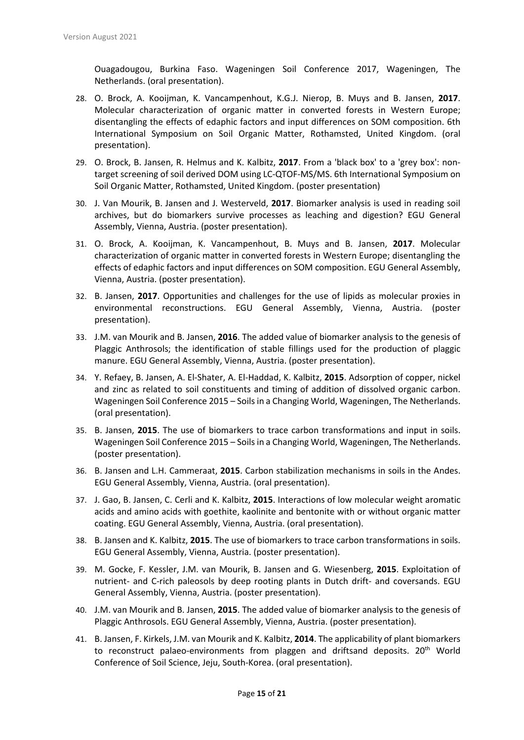Ouagadougou, Burkina Faso. Wageningen Soil Conference 2017, Wageningen, The Netherlands. (oral presentation).

- 28. O. Brock, A. Kooijman, K. Vancampenhout, K.G.J. Nierop, B. Muys and B. Jansen, **2017**. Molecular characterization of organic matter in converted forests in Western Europe; disentangling the effects of edaphic factors and input differences on SOM composition. 6th International Symposium on Soil Organic Matter, Rothamsted, United Kingdom. (oral presentation).
- 29. O. Brock, B. Jansen, R. Helmus and K. Kalbitz, **2017**. From a 'black box' to a 'grey box': nontarget screening of soil derived DOM using LC-QTOF-MS/MS. 6th International Symposium on Soil Organic Matter, Rothamsted, United Kingdom. (poster presentation)
- 30. J. Van Mourik, B. Jansen and J. Westerveld, **2017**. Biomarker analysis is used in reading soil archives, but do biomarkers survive processes as leaching and digestion? EGU General Assembly, Vienna, Austria. (poster presentation).
- 31. O. Brock, A. Kooijman, K. Vancampenhout, B. Muys and B. Jansen, **2017**. Molecular characterization of organic matter in converted forests in Western Europe; disentangling the effects of edaphic factors and input differences on SOM composition. EGU General Assembly, Vienna, Austria. (poster presentation).
- 32. B. Jansen, **2017**. Opportunities and challenges for the use of lipids as molecular proxies in environmental reconstructions. EGU General Assembly, Vienna, Austria. (poster presentation).
- 33. J.M. van Mourik and B. Jansen, **2016**. The added value of biomarker analysis to the genesis of Plaggic Anthrosols; the identification of stable fillings used for the production of plaggic manure. EGU General Assembly, Vienna, Austria. (poster presentation).
- 34. Y. Refaey, B. Jansen, A. El-Shater, A. El-Haddad, K. Kalbitz, **2015**. Adsorption of copper, nickel and zinc as related to soil constituents and timing of addition of dissolved organic carbon. Wageningen Soil Conference 2015 – Soils in a Changing World, Wageningen, The Netherlands. (oral presentation).
- 35. B. Jansen, **2015**. The use of biomarkers to trace carbon transformations and input in soils. Wageningen Soil Conference 2015 – Soils in a Changing World, Wageningen, The Netherlands. (poster presentation).
- 36. B. Jansen and L.H. Cammeraat, **2015**. Carbon stabilization mechanisms in soils in the Andes. EGU General Assembly, Vienna, Austria. (oral presentation).
- 37. J. Gao, B. Jansen, C. Cerli and K. Kalbitz, **2015**. Interactions of low molecular weight aromatic acids and amino acids with goethite, kaolinite and bentonite with or without organic matter coating. EGU General Assembly, Vienna, Austria. (oral presentation).
- 38. B. Jansen and K. Kalbitz, **2015**. The use of biomarkers to trace carbon transformations in soils. EGU General Assembly, Vienna, Austria. (poster presentation).
- 39. M. Gocke, F. Kessler, J.M. van Mourik, B. Jansen and G. Wiesenberg, **2015**. Exploitation of nutrient- and C-rich paleosols by deep rooting plants in Dutch drift- and coversands. EGU General Assembly, Vienna, Austria. (poster presentation).
- 40. J.M. van Mourik and B. Jansen, **2015**. The added value of biomarker analysis to the genesis of Plaggic Anthrosols. EGU General Assembly, Vienna, Austria. (poster presentation).
- 41. B. Jansen, F. Kirkels, J.M. van Mourik and K. Kalbitz, **2014**. The applicability of plant biomarkers to reconstruct palaeo-environments from plaggen and driftsand deposits.  $20<sup>th</sup>$  World Conference of Soil Science, Jeju, South-Korea. (oral presentation).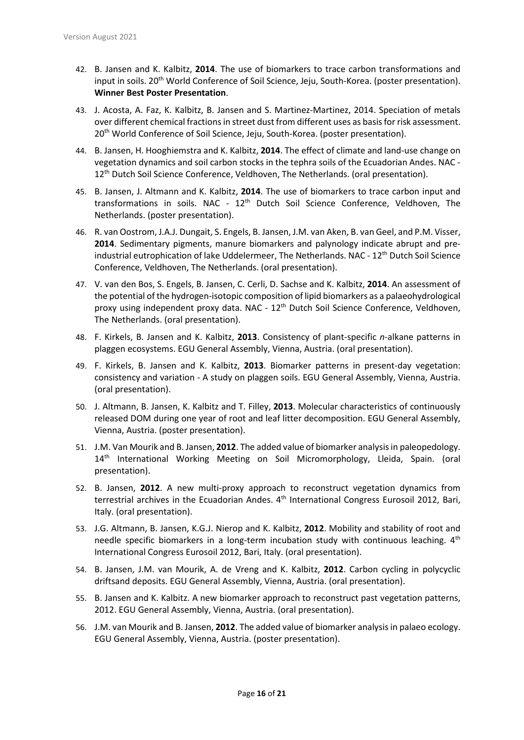- 42. B. Jansen and K. Kalbitz, **2014**. The use of biomarkers to trace carbon transformations and input in soils. 20<sup>th</sup> World Conference of Soil Science, Jeju, South-Korea. (poster presentation). **Winner Best Poster Presentation**.
- 43. J. Acosta, A. Faz, K. Kalbitz, B. Jansen and S. Martinez-Martinez, 2014. Speciation of metals over different chemical fractions in street dust from different uses as basis for risk assessment. 20<sup>th</sup> World Conference of Soil Science, Jeju, South-Korea. (poster presentation).
- 44. B. Jansen, H. Hooghiemstra and K. Kalbitz, **2014**. The effect of climate and land-use change on vegetation dynamics and soil carbon stocks in the tephra soils of the Ecuadorian Andes. NAC - 12<sup>th</sup> Dutch Soil Science Conference, Veldhoven, The Netherlands. (oral presentation).
- 45. B. Jansen, J. Altmann and K. Kalbitz, **2014**. The use of biomarkers to trace carbon input and transformations in soils. NAC - 12<sup>th</sup> Dutch Soil Science Conference, Veldhoven, The Netherlands. (poster presentation).
- 46. R. van Oostrom, J.A.J. Dungait, S. Engels, B. Jansen, J.M. van Aken, B. van Geel, and P.M. Visser, **2014**. Sedimentary pigments, manure biomarkers and palynology indicate abrupt and preindustrial eutrophication of lake Uddelermeer, The Netherlands. NAC - 12<sup>th</sup> Dutch Soil Science Conference, Veldhoven, The Netherlands. (oral presentation).
- 47. V. van den Bos, S. Engels, B. Jansen, C. Cerli, D. Sachse and K. Kalbitz, **2014**. An assessment of the potential of the hydrogen-isotopic composition of lipid biomarkers as a palaeohydrological proxy using independent proxy data. NAC - 12<sup>th</sup> Dutch Soil Science Conference, Veldhoven, The Netherlands. (oral presentation).
- 48. F. Kirkels, B. Jansen and K. Kalbitz, **2013**. Consistency of plant-specific *n*-alkane patterns in plaggen ecosystems. EGU General Assembly, Vienna, Austria. (oral presentation).
- 49. F. Kirkels, B. Jansen and K. Kalbitz, **2013**. Biomarker patterns in present-day vegetation: consistency and variation - A study on plaggen soils. EGU General Assembly, Vienna, Austria. (oral presentation).
- 50. J. Altmann, B. Jansen, K. Kalbitz and T. Filley, **2013**. Molecular characteristics of continuously released DOM during one year of root and leaf litter decomposition. EGU General Assembly, Vienna, Austria. (poster presentation).
- 51. J.M. Van Mourik and B. Jansen, **2012**. The added value of biomarker analysis in paleopedology. 14<sup>th</sup> International Working Meeting on Soil Micromorphology, Lleida, Spain. (oral presentation).
- 52. B. Jansen, **2012**. A new multi-proxy approach to reconstruct vegetation dynamics from terrestrial archives in the Ecuadorian Andes. 4<sup>th</sup> International Congress Eurosoil 2012, Bari, Italy. (oral presentation).
- 53. J.G. Altmann, B. Jansen, K.G.J. Nierop and K. Kalbitz, **2012**. Mobility and stability of root and needle specific biomarkers in a long-term incubation study with continuous leaching.  $4<sup>th</sup>$ International Congress Eurosoil 2012, Bari, Italy. (oral presentation).
- 54. B. Jansen, J.M. van Mourik, A. de Vreng and K. Kalbitz, **2012**. Carbon cycling in polycyclic driftsand deposits. EGU General Assembly, Vienna, Austria. (oral presentation).
- 55. B. Jansen and K. Kalbitz. A new biomarker approach to reconstruct past vegetation patterns, 2012. EGU General Assembly, Vienna, Austria. (oral presentation).
- 56. J.M. van Mourik and B. Jansen, **2012**. The added value of biomarker analysis in palaeo ecology. EGU General Assembly, Vienna, Austria. (poster presentation).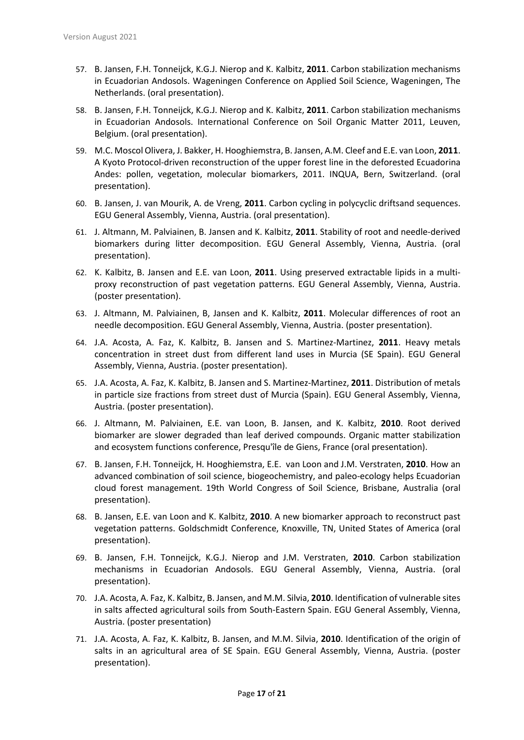- 57. B. Jansen, F.H. Tonneijck, K.G.J. Nierop and K. Kalbitz, **2011**. Carbon stabilization mechanisms in Ecuadorian Andosols. Wageningen Conference on Applied Soil Science, Wageningen, The Netherlands. (oral presentation).
- 58. B. Jansen, F.H. Tonneijck, K.G.J. Nierop and K. Kalbitz, **2011**. Carbon stabilization mechanisms in Ecuadorian Andosols. International Conference on Soil Organic Matter 2011, Leuven, Belgium. (oral presentation).
- 59. M.C. Moscol Olivera, J. Bakker, H. Hooghiemstra, B. Jansen, A.M. Cleef and E.E. van Loon, **2011**. A Kyoto Protocol-driven reconstruction of the upper forest line in the deforested Ecuadorina Andes: pollen, vegetation, molecular biomarkers, 2011. INQUA, Bern, Switzerland. (oral presentation).
- 60. B. Jansen, J. van Mourik, A. de Vreng, **2011**. Carbon cycling in polycyclic driftsand sequences. EGU General Assembly, Vienna, Austria. (oral presentation).
- 61. J. Altmann, M. Palviainen, B. Jansen and K. Kalbitz, **2011**. Stability of root and needle-derived biomarkers during litter decomposition. EGU General Assembly, Vienna, Austria. (oral presentation).
- 62. K. Kalbitz, B. Jansen and E.E. van Loon, **2011**. Using preserved extractable lipids in a multiproxy reconstruction of past vegetation patterns. EGU General Assembly, Vienna, Austria. (poster presentation).
- 63. J. Altmann, M. Palviainen, B, Jansen and K. Kalbitz, **2011**. Molecular differences of root an needle decomposition. EGU General Assembly, Vienna, Austria. (poster presentation).
- 64. J.A. Acosta, A. Faz, K. Kalbitz, B. Jansen and S. Martinez-Martinez, **2011**. Heavy metals concentration in street dust from different land uses in Murcia (SE Spain). EGU General Assembly, Vienna, Austria. (poster presentation).
- 65. J.A. Acosta, A. Faz, K. Kalbitz, B. Jansen and S. Martinez-Martinez, **2011**. Distribution of metals in particle size fractions from street dust of Murcia (Spain). EGU General Assembly, Vienna, Austria. (poster presentation).
- 66. J. Altmann, M. Palviainen, E.E. van Loon, B. Jansen, and K. Kalbitz, **2010**. Root derived biomarker are slower degraded than leaf derived compounds. Organic matter stabilization and ecosystem functions conference, Presqu'île de Giens, France (oral presentation).
- 67. B. Jansen, F.H. Tonneijck, H. Hooghiemstra, E.E. van Loon and J.M. Verstraten, **2010**. How an advanced combination of soil science, biogeochemistry, and paleo-ecology helps Ecuadorian cloud forest management. 19th World Congress of Soil Science, Brisbane, Australia (oral presentation).
- 68. B. Jansen, E.E. van Loon and K. Kalbitz, **2010**. A new biomarker approach to reconstruct past vegetation patterns. Goldschmidt Conference, Knoxville, TN, United States of America (oral presentation).
- 69. B. Jansen, F.H. Tonneijck, K.G.J. Nierop and J.M. Verstraten, **2010**. Carbon stabilization mechanisms in Ecuadorian Andosols. EGU General Assembly, Vienna, Austria. (oral presentation).
- 70. J.A. Acosta, A. Faz, K. Kalbitz, B. Jansen, and M.M. Silvia, **2010**. Identification of vulnerable sites in salts affected agricultural soils from South-Eastern Spain. EGU General Assembly, Vienna, Austria. (poster presentation)
- 71. J.A. Acosta, A. Faz, K. Kalbitz, B. Jansen, and M.M. Silvia, **2010**. Identification of the origin of salts in an agricultural area of SE Spain. EGU General Assembly, Vienna, Austria. (poster presentation).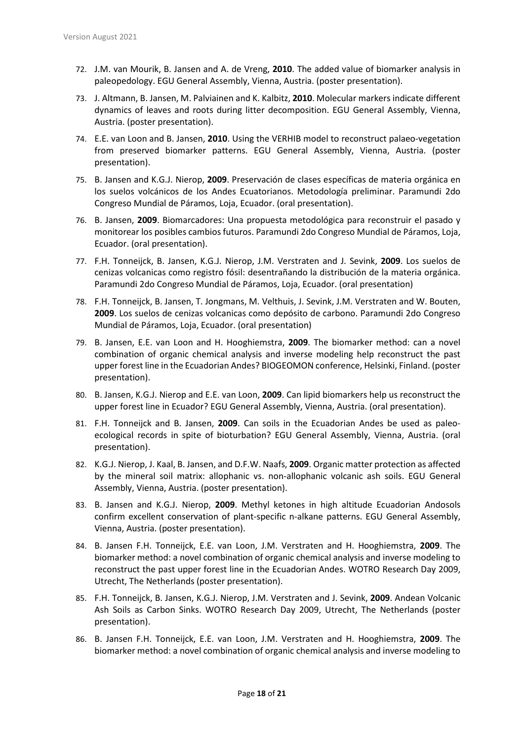- 72. J.M. van Mourik, B. Jansen and A. de Vreng, **2010**. The added value of biomarker analysis in paleopedology. EGU General Assembly, Vienna, Austria. (poster presentation).
- 73. J. Altmann, B. Jansen, M. Palviainen and K. Kalbitz, **2010**. Molecular markers indicate different dynamics of leaves and roots during litter decomposition. EGU General Assembly, Vienna, Austria. (poster presentation).
- 74. E.E. van Loon and B. Jansen, **2010**. Using the VERHIB model to reconstruct palaeo-vegetation from preserved biomarker patterns. EGU General Assembly, Vienna, Austria. (poster presentation).
- 75. B. Jansen and K.G.J. Nierop, **2009**. Preservación de clases específicas de materia orgánica en los suelos volcánicos de los Andes Ecuatorianos. Metodología preliminar. Paramundi 2do Congreso Mundial de Páramos, Loja, Ecuador. (oral presentation).
- 76. B. Jansen, **2009**. Biomarcadores: Una propuesta metodológica para reconstruir el pasado y monitorear los posibles cambios futuros. Paramundi 2do Congreso Mundial de Páramos, Loja, Ecuador. (oral presentation).
- 77. F.H. Tonneijck, B. Jansen, K.G.J. Nierop, J.M. Verstraten and J. Sevink, **2009**. Los suelos de cenizas volcanicas como registro fósil: desentrañando la distribución de la materia orgánica. Paramundi 2do Congreso Mundial de Páramos, Loja, Ecuador. (oral presentation)
- 78. F.H. Tonneijck, B. Jansen, T. Jongmans, M. Velthuis, J. Sevink, J.M. Verstraten and W. Bouten, **2009**. Los suelos de cenizas volcanicas como depósito de carbono. Paramundi 2do Congreso Mundial de Páramos, Loja, Ecuador. (oral presentation)
- 79. B. Jansen, E.E. van Loon and H. Hooghiemstra, **2009**. The biomarker method: can a novel combination of organic chemical analysis and inverse modeling help reconstruct the past upper forest line in the Ecuadorian Andes? BIOGEOMON conference, Helsinki, Finland. (poster presentation).
- 80. B. Jansen, K.G.J. Nierop and E.E. van Loon, **2009**. Can lipid biomarkers help us reconstruct the upper forest line in Ecuador? EGU General Assembly, Vienna, Austria. (oral presentation).
- 81. F.H. Tonneijck and B. Jansen, **2009**. Can soils in the Ecuadorian Andes be used as paleoecological records in spite of bioturbation? EGU General Assembly, Vienna, Austria. (oral presentation).
- 82. K.G.J. Nierop, J. Kaal, B. Jansen, and D.F.W. Naafs, **2009**. Organic matter protection as affected by the mineral soil matrix: allophanic vs. non-allophanic volcanic ash soils. EGU General Assembly, Vienna, Austria. (poster presentation).
- 83. B. Jansen and K.G.J. Nierop, **2009**. Methyl ketones in high altitude Ecuadorian Andosols confirm excellent conservation of plant-specific n-alkane patterns. EGU General Assembly, Vienna, Austria. (poster presentation).
- 84. B. Jansen F.H. Tonneijck, E.E. van Loon, J.M. Verstraten and H. Hooghiemstra, **2009**. The biomarker method: a novel combination of organic chemical analysis and inverse modeling to reconstruct the past upper forest line in the Ecuadorian Andes. WOTRO Research Day 2009, Utrecht, The Netherlands (poster presentation).
- 85. F.H. Tonneijck, B. Jansen, K.G.J. Nierop, J.M. Verstraten and J. Sevink, **2009**. Andean Volcanic Ash Soils as Carbon Sinks. WOTRO Research Day 2009, Utrecht, The Netherlands (poster presentation).
- 86. B. Jansen F.H. Tonneijck, E.E. van Loon, J.M. Verstraten and H. Hooghiemstra, **2009**. The biomarker method: a novel combination of organic chemical analysis and inverse modeling to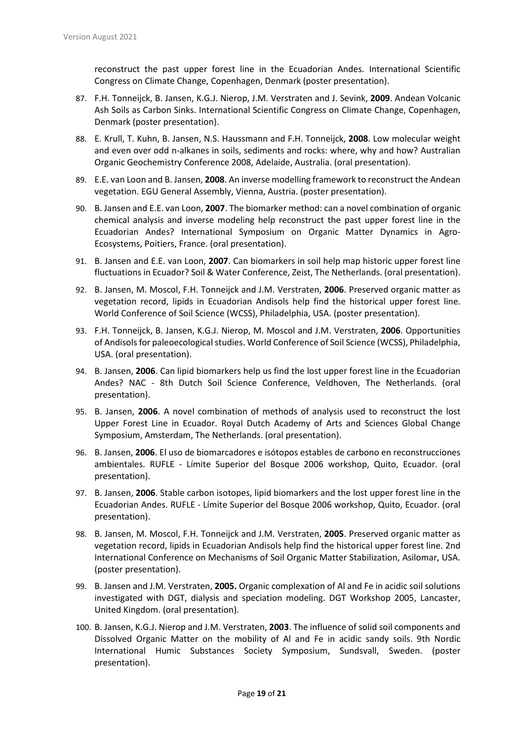reconstruct the past upper forest line in the Ecuadorian Andes. International Scientific Congress on Climate Change, Copenhagen, Denmark (poster presentation).

- 87. F.H. Tonneijck, B. Jansen, K.G.J. Nierop, J.M. Verstraten and J. Sevink, **2009**. Andean Volcanic Ash Soils as Carbon Sinks. International Scientific Congress on Climate Change, Copenhagen, Denmark (poster presentation).
- 88. E. Krull, T. Kuhn, B. Jansen, N.S. Haussmann and F.H. Tonneijck, **2008**. Low molecular weight and even over odd n-alkanes in soils, sediments and rocks: where, why and how? Australian Organic Geochemistry Conference 2008, Adelaide, Australia. (oral presentation).
- 89. E.E. van Loon and B. Jansen, **2008**. An inverse modelling framework to reconstruct the Andean vegetation. EGU General Assembly, Vienna, Austria. (poster presentation).
- 90. B. Jansen and E.E. van Loon, **2007**. The biomarker method: can a novel combination of organic chemical analysis and inverse modeling help reconstruct the past upper forest line in the Ecuadorian Andes? International Symposium on Organic Matter Dynamics in Agro-Ecosystems, Poitiers, France. (oral presentation).
- 91. B. Jansen and E.E. van Loon, **2007**. Can biomarkers in soil help map historic upper forest line fluctuations in Ecuador? Soil & Water Conference, Zeist, The Netherlands. (oral presentation).
- 92. B. Jansen, M. Moscol, F.H. Tonneijck and J.M. Verstraten, **2006**. Preserved organic matter as vegetation record, lipids in Ecuadorian Andisols help find the historical upper forest line. World Conference of Soil Science (WCSS), Philadelphia, USA. (poster presentation).
- 93. F.H. Tonneijck, B. Jansen, K.G.J. Nierop, M. Moscol and J.M. Verstraten, **2006**. Opportunities of Andisols for paleoecological studies. World Conference of Soil Science (WCSS), Philadelphia, USA. (oral presentation).
- 94. B. Jansen, **2006**. Can lipid biomarkers help us find the lost upper forest line in the Ecuadorian Andes? NAC - 8th Dutch Soil Science Conference, Veldhoven, The Netherlands. (oral presentation).
- 95. B. Jansen, **2006**. A novel combination of methods of analysis used to reconstruct the lost Upper Forest Line in Ecuador. Royal Dutch Academy of Arts and Sciences Global Change Symposium, Amsterdam, The Netherlands. (oral presentation).
- 96. B. Jansen, **2006**. El uso de biomarcadores e isótopos estables de carbono en reconstrucciones ambientales. RUFLE - Límite Superior del Bosque 2006 workshop, Quito, Ecuador. (oral presentation).
- 97. B. Jansen, **2006**. Stable carbon isotopes, lipid biomarkers and the lost upper forest line in the Ecuadorian Andes. RUFLE - Límite Superior del Bosque 2006 workshop, Quito, Ecuador. (oral presentation).
- 98. B. Jansen, M. Moscol, F.H. Tonneijck and J.M. Verstraten, **2005**. Preserved organic matter as vegetation record, lipids in Ecuadorian Andisols help find the historical upper forest line. 2nd International Conference on Mechanisms of Soil Organic Matter Stabilization, Asilomar, USA. (poster presentation).
- 99. B. Jansen and J.M. Verstraten, **2005.** Organic complexation of Al and Fe in acidic soil solutions investigated with DGT, dialysis and speciation modeling. DGT Workshop 2005, Lancaster, United Kingdom. (oral presentation).
- 100. B. Jansen, K.G.J. Nierop and J.M. Verstraten, **2003**. The influence of solid soil components and Dissolved Organic Matter on the mobility of Al and Fe in acidic sandy soils. 9th Nordic International Humic Substances Society Symposium, Sundsvall, Sweden. (poster presentation).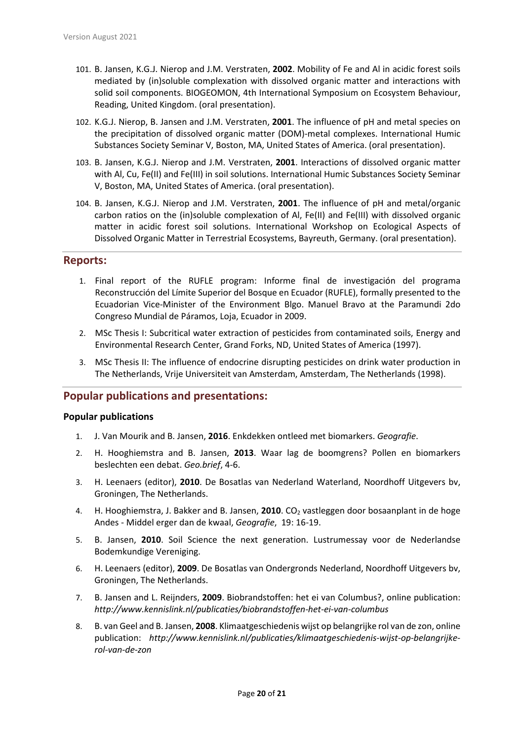- 101. B. Jansen, K.G.J. Nierop and J.M. Verstraten, **2002**. Mobility of Fe and Al in acidic forest soils mediated by (in)soluble complexation with dissolved organic matter and interactions with solid soil components. BIOGEOMON, 4th International Symposium on Ecosystem Behaviour, Reading, United Kingdom. (oral presentation).
- 102. K.G.J. Nierop, B. Jansen and J.M. Verstraten, **2001**. The influence of pH and metal species on the precipitation of dissolved organic matter (DOM)-metal complexes. International Humic Substances Society Seminar V, Boston, MA, United States of America. (oral presentation).
- 103. B. Jansen, K.G.J. Nierop and J.M. Verstraten, **2001**. Interactions of dissolved organic matter with Al, Cu, Fe(II) and Fe(III) in soil solutions. International Humic Substances Society Seminar V, Boston, MA, United States of America. (oral presentation).
- 104. B. Jansen, K.G.J. Nierop and J.M. Verstraten, **2001**. The influence of pH and metal/organic carbon ratios on the (in)soluble complexation of Al, Fe(II) and Fe(III) with dissolved organic matter in acidic forest soil solutions. International Workshop on Ecological Aspects of Dissolved Organic Matter in Terrestrial Ecosystems, Bayreuth, Germany. (oral presentation).

## **Reports:**

- 1. Final report of the RUFLE program: Informe final de investigación del programa Reconstrucción del Límite Superior del Bosque en Ecuador (RUFLE), formally presented to the Ecuadorian Vice-Minister of the Environment Blgo. Manuel Bravo at the Paramundi 2do Congreso Mundial de Páramos, Loja, Ecuador in 2009.
- 2. MSc Thesis I: Subcritical water extraction of pesticides from contaminated soils, Energy and Environmental Research Center, Grand Forks, ND, United States of America (1997).
- 3. MSc Thesis II: The influence of endocrine disrupting pesticides on drink water production in The Netherlands, Vrije Universiteit van Amsterdam, Amsterdam, The Netherlands (1998).

## **Popular publications and presentations:**

#### **Popular publications**

- 1. J. Van Mourik and B. Jansen, **2016**. Enkdekken ontleed met biomarkers. *Geografie*.
- 2. H. Hooghiemstra and B. Jansen, **2013**. Waar lag de boomgrens? Pollen en biomarkers beslechten een debat. *Geo.brief*, 4-6.
- 3. H. Leenaers (editor), **2010**. De Bosatlas van Nederland Waterland, Noordhoff Uitgevers bv, Groningen, The Netherlands.
- 4. H. Hooghiemstra, J. Bakker and B. Jansen, **2010**. CO2 vastleggen door bosaanplant in de hoge Andes - Middel erger dan de kwaal, *Geografie*, 19: 16-19.
- 5. B. Jansen, **2010**. Soil Science the next generation. Lustrumessay voor de Nederlandse Bodemkundige Vereniging.
- 6. H. Leenaers (editor), **2009**. De Bosatlas van Ondergronds Nederland, Noordhoff Uitgevers bv, Groningen, The Netherlands.
- 7. B. Jansen and L. Reijnders, **2009**. Biobrandstoffen: het ei van Columbus?, online publication: *http://www.kennislink.nl/publicaties/biobrandstoffen-het-ei-van-columbus*
- 8. B. van Geel and B. Jansen, **2008**. Klimaatgeschiedenis wijst op belangrijke rol van de zon, online publication: *http://www.kennislink.nl/publicaties/klimaatgeschiedenis-wijst-op-belangrijkerol-van-de-zon*